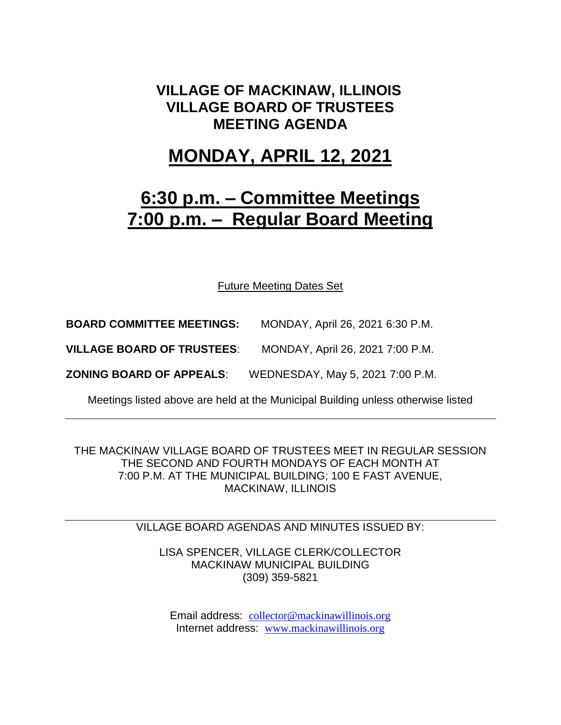### **VILLAGE OF MACKINAW, ILLINOIS VILLAGE BOARD OF TRUSTEES MEETING AGENDA**

### **MONDAY, APRIL 12, 2021**

# **6:30 p.m. – Committee Meetings 7:00 p.m. – Regular Board Meeting**

Future Meeting Dates Set

**BOARD COMMITTEE MEETINGS:** MONDAY, April 26, 2021 6:30 P.M.

**VILLAGE BOARD OF TRUSTEES**: MONDAY, April 26, 2021 7:00 P.M.

**ZONING BOARD OF APPEALS**: WEDNESDAY, May 5, 2021 7:00 P.M.

Meetings listed above are held at the Municipal Building unless otherwise listed

THE MACKINAW VILLAGE BOARD OF TRUSTEES MEET IN REGULAR SESSION THE SECOND AND FOURTH MONDAYS OF EACH MONTH AT 7:00 P.M. AT THE MUNICIPAL BUILDING; 100 E FAST AVENUE, MACKINAW, ILLINOIS

#### VILLAGE BOARD AGENDAS AND MINUTES ISSUED BY:

LISA SPENCER, VILLAGE CLERK/COLLECTOR MACKINAW MUNICIPAL BUILDING (309) 359-5821

Email address: [collector@mackinawillinois.org](mailto:collector@mackinawillinois.org) Internet address: [www.mackinawillinois.org](http://www.mackinawillinois.org/)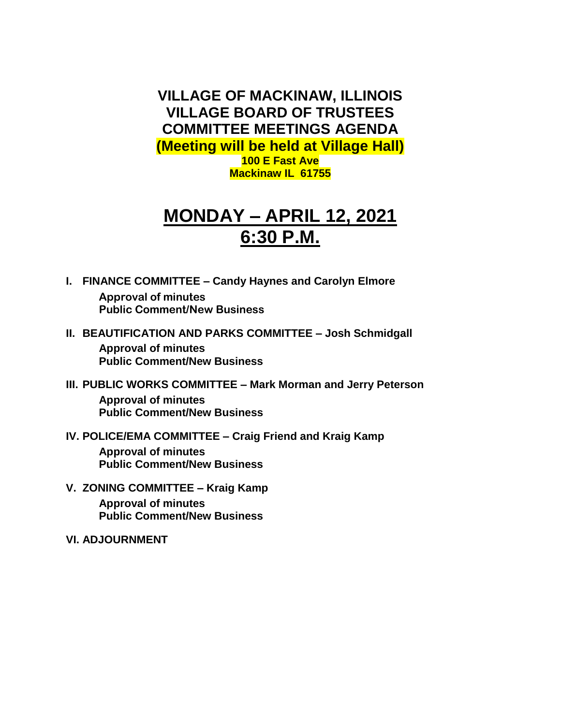**VILLAGE OF MACKINAW, ILLINOIS VILLAGE BOARD OF TRUSTEES COMMITTEE MEETINGS AGENDA (Meeting will be held at Village Hall) 100 E Fast Ave Mackinaw IL 61755**

# **MONDAY – APRIL 12, 2021 6:30 P.M.**

- **I. FINANCE COMMITTEE – Candy Haynes and Carolyn Elmore Approval of minutes Public Comment/New Business**
- **II. BEAUTIFICATION AND PARKS COMMITTEE – Josh Schmidgall Approval of minutes Public Comment/New Business**
- **III. PUBLIC WORKS COMMITTEE – Mark Morman and Jerry Peterson Approval of minutes Public Comment/New Business**
- **IV. POLICE/EMA COMMITTEE – Craig Friend and Kraig Kamp**

**Approval of minutes Public Comment/New Business**

- **V. ZONING COMMITTEE – Kraig Kamp Approval of minutes Public Comment/New Business**
- **VI. ADJOURNMENT**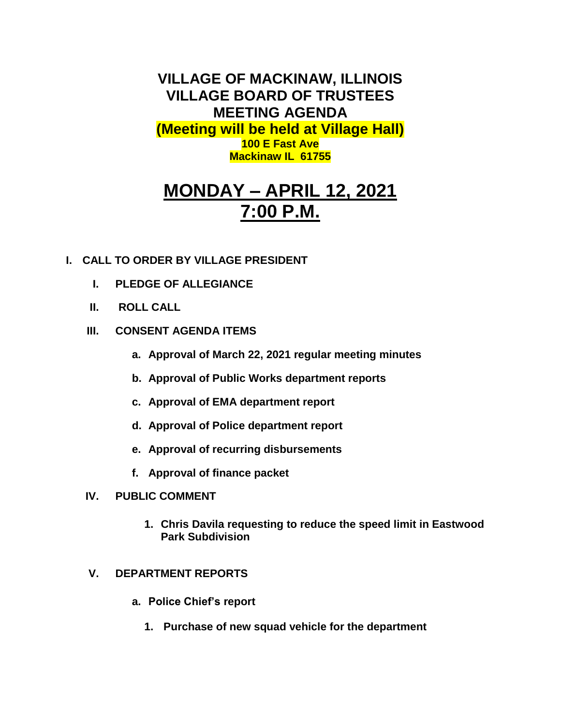**VILLAGE OF MACKINAW, ILLINOIS VILLAGE BOARD OF TRUSTEES MEETING AGENDA (Meeting will be held at Village Hall) 100 E Fast Ave Mackinaw IL 61755**

# **MONDAY – APRIL 12, 2021 7:00 P.M.**

### **I. CALL TO ORDER BY VILLAGE PRESIDENT**

- **I. PLEDGE OF ALLEGIANCE**
- **II. ROLL CALL**

### **III. CONSENT AGENDA ITEMS**

- **a. Approval of March 22, 2021 regular meeting minutes**
- **b. Approval of Public Works department reports**
- **c. Approval of EMA department report**
- **d. Approval of Police department report**
- **e. Approval of recurring disbursements**
- **f. Approval of finance packet**
- **IV. PUBLIC COMMENT**
	- **1. Chris Davila requesting to reduce the speed limit in Eastwood Park Subdivision**

### **V. DEPARTMENT REPORTS**

- **a. Police Chief's report**
	- **1. Purchase of new squad vehicle for the department**